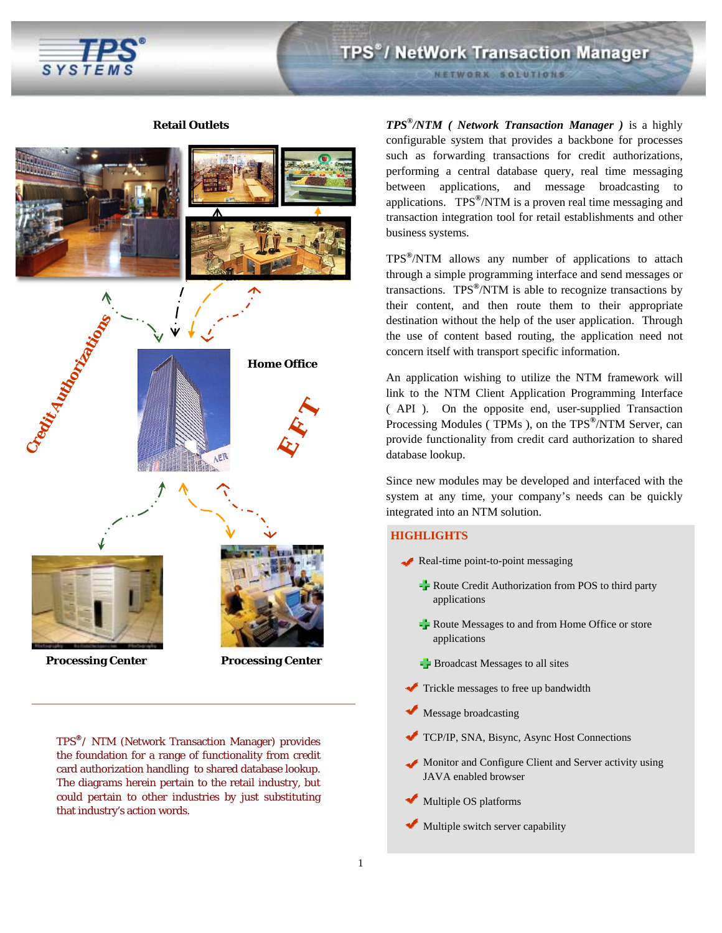

#### **Retail Outlets**



TPS**®**/ NTM (Network Transaction Manager) provides the foundation for a range of functionality from credit card authorization handling to shared database lookup. The diagrams herein pertain to the retail industry, but could pertain to other industries by just substituting that industry's action words.

*TPS®/NTM ( Network Transaction Manager )* is a highly configurable system that provides a backbone for processes such as forwarding transactions for credit authorizations, performing a central database query, real time messaging between applications, and message broadcasting to applications. TPS**®**/NTM is a proven real time messaging and transaction integration tool for retail establishments and other business systems.

TPS**®**/NTM allows any number of applications to attach through a simple programming interface and send messages or transactions. TPS**®**/NTM is able to recognize transactions by their content, and then route them to their appropriate destination without the help of the user application. Through the use of content based routing, the application need not concern itself with transport specific information.

An application wishing to utilize the NTM framework will link to the NTM Client Application Programming Interface ( API ). On the opposite end, user-supplied Transaction Processing Modules ( TPMs ), on the TPS**®**/NTM Server, can provide functionality from credit card authorization to shared database lookup.

Since new modules may be developed and interfaced with the system at any time, your company's needs can be quickly integrated into an NTM solution.

#### **HIGHLIGHTS**

- Real-time point-to-point messaging
	- $\frac{1}{\sqrt{2}}$  Route Credit Authorization from POS to third party applications
	- Route Messages to and from Home Office or store applications
	- $\blacktriangleright$  Broadcast Messages to all sites
	- Trickle messages to free up bandwidth
- Message broadcasting
- TCP/IP, SNA, Bisync, Async Host Connections
- Monitor and Configure Client and Server activity using JAVA enabled browser
- Multiple OS platforms
- $\blacktriangleright$  Multiple switch server capability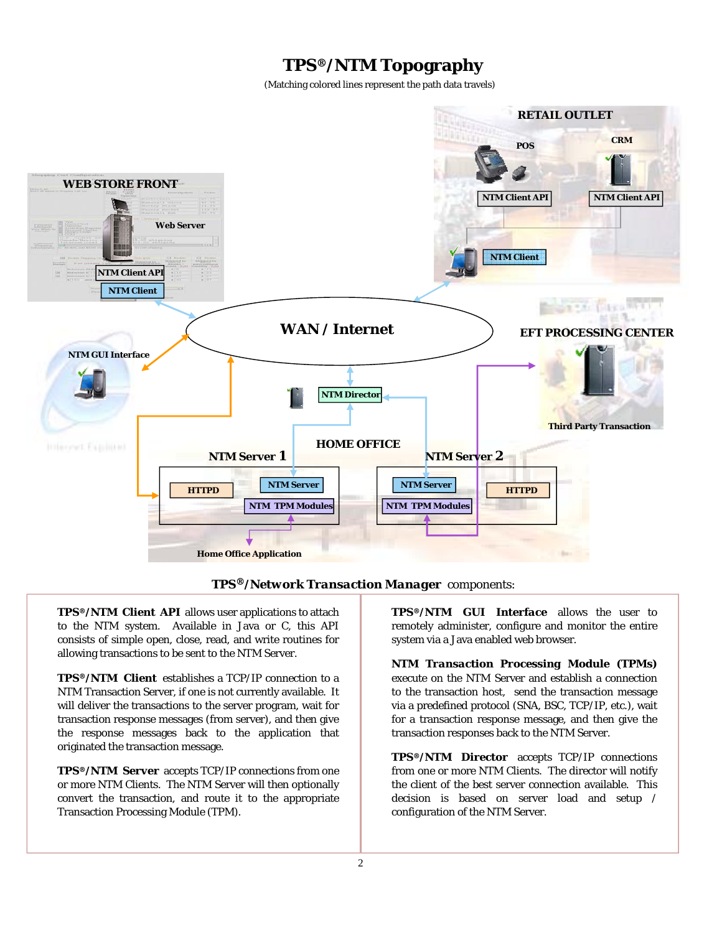# **TPS***®***/NTM Topography**

(Matching colored lines represent the path data travels)





*TPS®/NTM Client API* allows user applications to attach to the NTM system. Available in Java or C, this API consists of simple open, close, read, and write routines for allowing transactions to be sent to the NTM Server.

*TPS®/NTM Client* establishes a TCP/IP connection to a NTM Transaction Server, if one is not currently available. It will deliver the transactions to the server program, wait for transaction response messages (from server), and then give the response messages back to the application that originated the transaction message.

*TPS®/NTM Server* accepts TCP/IP connections from one or more NTM Clients. The NTM Server will then optionally convert the transaction, and route it to the appropriate Transaction Processing Module (TPM).

*TPS®/NTM GUI Interface* allows the user to remotely administer, configure and monitor the entire system via a Java enabled web browser.

*NTM Transaction Processing Module (TPMs)* execute on the NTM Server and establish a connection to the transaction host, send the transaction message via a predefined protocol (SNA, BSC, TCP/IP, etc.), wait for a transaction response message, and then give the transaction responses back to the NTM Server.

*TPS®/NTM Director* accepts TCP/IP connections from one or more NTM Clients. The director will notify the client of the best server connection available. This decision is based on server load and setup / configuration of the NTM Server.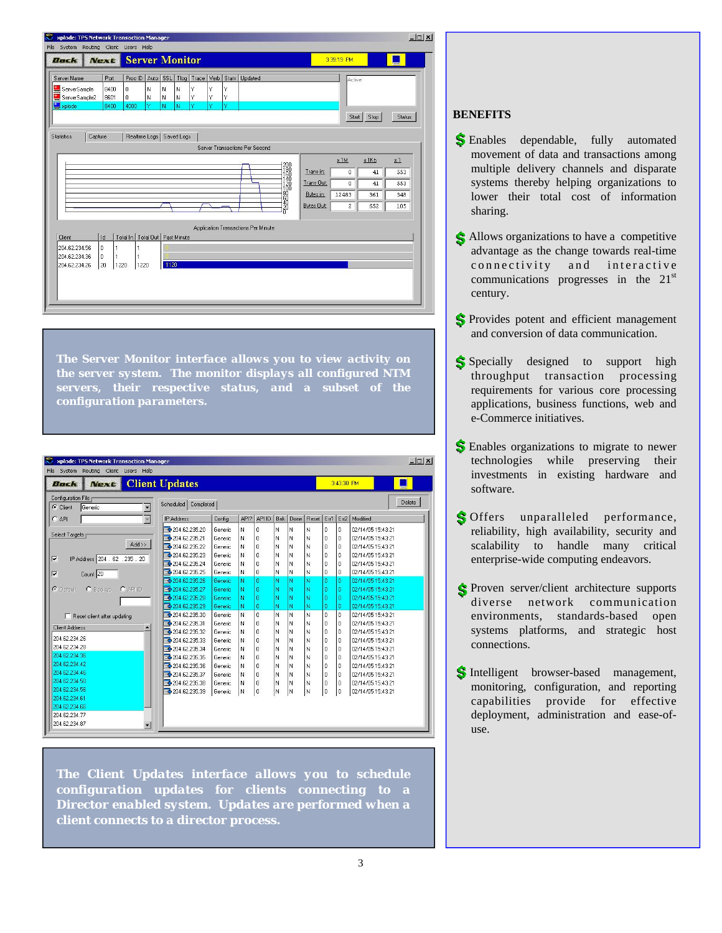|                                       |             |                |                            | xplode: TPS Network Transaction Manager |             |   |   |   |                                     |                                    |                   |                         |               | $  \mathbb{Z}$ |
|---------------------------------------|-------------|----------------|----------------------------|-----------------------------------------|-------------|---|---|---|-------------------------------------|------------------------------------|-------------------|-------------------------|---------------|----------------|
| File System Routing Client Users Help |             |                |                            |                                         |             |   |   |   |                                     |                                    |                   |                         |               |                |
| Back                                  | <b>Next</b> |                | <b>Server Monitor</b>      |                                         |             |   |   |   |                                     |                                    |                   | 3:39:19 PM              |               |                |
| Server Name                           | Port        |                | Proc ID Auto               |                                         |             |   |   |   | SSL Tlog Trace Verb Stats Updated   |                                    |                   | Active                  |               |                |
| ServerSample                          | 8400        | $\mathbf{0}$   | N                          | l N                                     | N           | Y | Y | Y |                                     |                                    |                   |                         |               |                |
| ServerSample2                         | 8601        | $\overline{0}$ | N                          | N                                       | N           | Y | Y | Y |                                     |                                    |                   |                         |               |                |
| plode                                 | 8400        | 4000           | Ÿ                          | N                                       | N           | Ÿ | Ÿ | Ÿ |                                     |                                    |                   |                         |               |                |
|                                       |             |                |                            |                                         |             |   |   |   |                                     |                                    |                   |                         | Stop<br>Start | <b>Status</b>  |
|                                       |             |                |                            |                                         |             |   |   |   |                                     |                                    |                   |                         |               |                |
| <b>Statistics</b>                     | Capture     |                | Realtime Logs   Saved Logs |                                         |             |   |   |   |                                     |                                    |                   |                         |               |                |
|                                       |             |                |                            |                                         |             |   |   |   | Server Transactions Per Second      |                                    |                   |                         |               |                |
|                                       |             |                |                            |                                         |             |   |   |   |                                     |                                    |                   | x1M                     | $x$ 1Kb       | x1             |
|                                       |             |                |                            |                                         |             |   |   |   |                                     | 200<br>1800<br>1800<br>1200<br>100 | Trans in:         |                         |               | 553            |
|                                       |             |                |                            |                                         |             |   |   |   |                                     |                                    |                   | 0                       | 41            |                |
|                                       |             |                |                            |                                         |             |   |   |   |                                     |                                    | <b>Trans Out:</b> | 0                       | 41            | 553            |
|                                       |             |                |                            |                                         |             |   |   |   |                                     |                                    | Bytes in:         | 12483                   | 361           | 348            |
|                                       |             |                |                            |                                         |             |   |   |   |                                     | <b>124509</b>                      | <b>Bytes Out:</b> | $\overline{\mathbf{c}}$ | 652           | 105            |
|                                       |             |                |                            |                                         |             |   |   |   |                                     |                                    |                   |                         |               |                |
|                                       |             |                |                            |                                         |             |   |   |   | Application Transactions Per Minute |                                    |                   |                         |               |                |
| <b>Client</b>                         | Id          | Total In       | Total Out                  |                                         | Past Minute |   |   |   |                                     |                                    |                   |                         |               |                |
| 204.62.234.56                         | I٥          | 1              |                            |                                         |             |   |   |   |                                     |                                    |                   |                         |               |                |
| 204.62.234.36                         | I٥          |                |                            |                                         |             |   |   |   |                                     |                                    |                   |                         |               |                |
| 204.62.234.26                         | 20          | 1220           | 1220                       | 1120                                    |             |   |   |   |                                     |                                    |                   |                         |               |                |
|                                       |             |                |                            |                                         |             |   |   |   |                                     |                                    |                   |                         |               |                |
|                                       |             |                |                            |                                         |             |   |   |   |                                     |                                    |                   |                         |               |                |
|                                       |             |                |                            |                                         |             |   |   |   |                                     |                                    |                   |                         |               |                |
|                                       |             |                |                            |                                         |             |   |   |   |                                     |                                    |                   |                         |               |                |

*The Server Monitor interface allows you to view activity on the server system. The monitor displays all configured NTM servers, their respective status, and a subset of the configuration parameters.* 

| File System Routing Client Users Help                     |                                  |         |      |                |            |      |       |                |            |                   |        |
|-----------------------------------------------------------|----------------------------------|---------|------|----------------|------------|------|-------|----------------|------------|-------------------|--------|
| <b>Next</b><br>Back                                       | <b>Client Updates</b>            |         |      |                |            |      |       |                | 3:43:30 PM |                   |        |
| Configuration File                                        |                                  |         |      |                |            |      |       |                |            |                   | Delete |
| $\overline{\phantom{0}}$<br>C Client<br>Generic           | Completed<br>Scheduled           |         |      |                |            |      |       |                |            |                   |        |
| C API                                                     | <b>IP Address</b>                | Config  | API? | API ID         | <b>Bak</b> | Done | Reset | Em1            | En2        | Modified          |        |
|                                                           | $\bigtriangledown$ 204.62.235.20 | Generic | N    | n              | N          | N    | Ν     | $\Omega$       | n          | 02/14/05 15:43:21 |        |
| <b>Select Targets</b>                                     | 204 62 235 21                    | Generic | N    | $\Omega$       | N          | N    | N     | $\theta$       | lū         | 02/14/05 15:43:21 |        |
| $ext{Add}$                                                | 204.62.235.22                    | Generic | N    | $\Omega$       | N          | N    | N     | $\Omega$       | l n        | 02/14/05 15:43:21 |        |
| $\overline{\mathbf{v}}$<br>IP Address 204 . 62 . 235 . 20 | 204.62.235.23                    | Generic | N    | $\Omega$       | N          | N    | N     | $\Omega$       | l n        | 02/14/05 15:43:21 |        |
|                                                           | 204.62.235.24                    | Generic | N    | $\theta$       | N          | N    | N     | $\theta$       | ۱o         | 02/14/05 15:43:21 |        |
| $\overline{v}$<br>Count 20                                | 204.62.235.25                    | Generic | N    | $\Omega$       | N          | N    | N     | $\Omega$       | 'n         | 02/14/05 15:43:21 |        |
|                                                           | 204.62.235.26                    | Generic | Ň    | ñ              | Ń          | Ñ    | N     | $\bf{0}$       | n          | 02/14/05 15:43:21 |        |
| C Default<br>C Backup<br><b>C</b> APHD                    | 204.62.235.27                    | Generic | Ň    | ō              | Ň          | Ñ    | N     | $\mathbf{0}$   | 0          | 02/14/05 15:43:21 |        |
|                                                           | 204.62.235.28                    | Generic | N    | o              | N          | Ń    | N     | n              | n          | 02/14/05 15:43:21 |        |
|                                                           | 204.62.235.29                    | Generic | N    | n              | Ν          | Ñ    | N     | n              | n          | 02/14/05 15:43:21 |        |
| F Reset client after updating                             | 204.62.235.30                    | Generic | N    | 'n             | N          | Ñ    | N     | $\overline{p}$ | $\Omega$   | 02/14/05 15:43:21 |        |
| <b>Client Address</b>                                     | 204 62 235 31                    | Generic | N    | $\theta$       | N          | N    | N     | $\theta$       | ۱o         | 02/14/05 15:43:21 |        |
|                                                           | 204.62.235.32                    | Generic | N    | $\Omega$       | N          | N    | N     | $\Omega$       | l n        | 02/14/05 15:43:21 |        |
| 204 62 234 26                                             | 204.62.235.33                    | Generic | N    | n              | N          | N    | N     | $\Omega$       | 'n         | 02/14/05 15:43:21 |        |
| 204 62 234 28                                             | 204.62.235.34                    | Generic | N    | n              | N          | Ń    | N     | $\mathbf{0}$   | l O        | 02/14/05 15:43:21 |        |
| 204 62 234 36                                             | 204.62.235.35                    | Generic | N    | $\Omega$       | N          | N    | N     | $\Omega$       | l n        | 02/14/05 15:43:21 |        |
| 204 62 234 42                                             | 204.62.235.36                    | Generic | N    | $\Omega$       | N          | N    | N     | $\Omega$       | l n        | 02/14/05 15:43:21 |        |
| 204 62 234 46                                             | 204.62.235.37                    | Generic | N    | $\mathbf{0}$   | N          | N    | N     | $\mathbf{0}$   | In         | 02/14/05 15:43:21 |        |
| 204.62.234.50                                             | 204.62.235.38                    | Generic | N    | $\theta$       | N          | Ń    | N     | $\Omega$       | ١ū         | 02/14/05 15:43:21 |        |
| 204 62 234 56                                             | 204.62.235.39                    | Generic | N    | $\overline{0}$ | N          | N    | N     | $\theta$       | o          | 02/14/05 15:43:21 |        |
| 204 62 234 61                                             |                                  |         |      |                |            |      |       |                |            |                   |        |
| 204.62.234.66                                             |                                  |         |      |                |            |      |       |                |            |                   |        |
| 204.62.234.77                                             |                                  |         |      |                |            |      |       |                |            |                   |        |
| 204.62.234.87<br>$\overline{\phantom{a}}$                 |                                  |         |      |                |            |      |       |                |            |                   |        |

*The Client Updates interface allows you to schedule configuration updates for clients connecting to a Director enabled system. Updates are performed when a client connects to a director process.* 

## **BENEFITS**

- Enables dependable, fully automated movement of data and transactions among multiple delivery channels and disparate systems thereby helping organizations to lower their total cost of information sharing.
- Allows organizations to have a competitive advantage as the change towards real-time connectivity and interactive communications progresses in the  $21<sup>st</sup>$ century.
- S Provides potent and efficient management and conversion of data communication.
- Sis Specially designed to support high throughput transaction processing requirements for various core processing applications, business functions, web and e-Commerce initiatives.
- S Enables organizations to migrate to newer technologies while preserving their investments in existing hardware and software.
- S Offers unparalleled performance, reliability, high availability, security and scalability to handle many critical enterprise-wide computing endeavors.
- Proven server/client architecture supports diverse network communication environments, standards-based open systems platforms, and strategic host connections.
- S Intelligent browser-based management, monitoring, configuration, and reporting capabilities provide for effective deployment, administration and ease-ofuse.